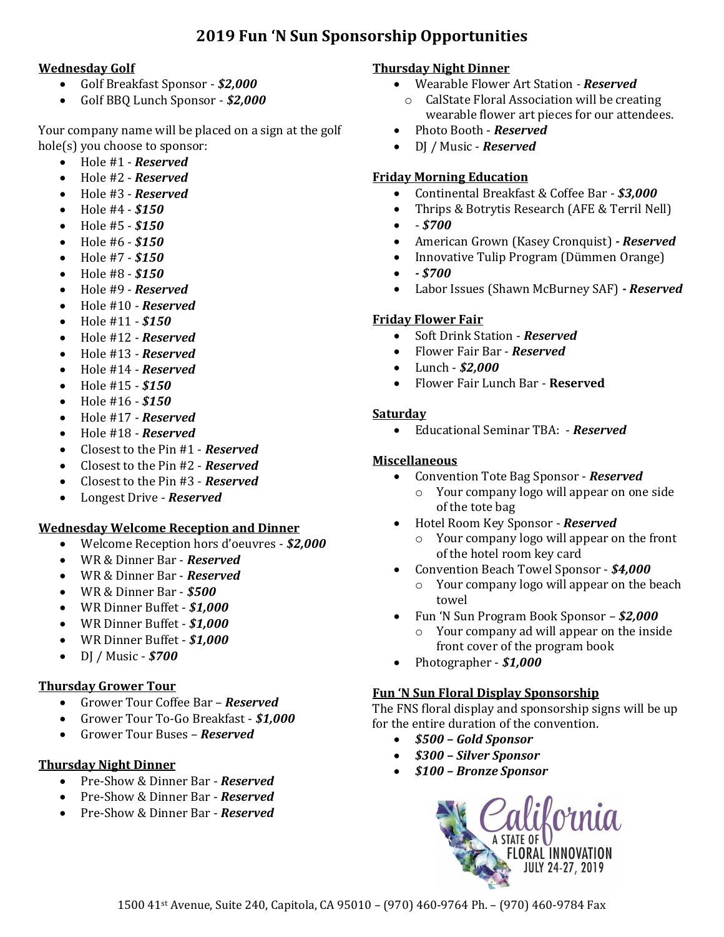# **2019 Fun 'N Sun Sponsorship Opportunities**

# **Wednesday Golf**

- Golf Breakfast Sponsor *\$2,000*
- Golf BBQ Lunch Sponsor *\$2,000*

Your company name will be placed on a sign at the golf hole(s) you choose to sponsor:

- Hole #1 *Reserved*
- Hole #2 *Reserved*
- Hole #3 *Reserved*
- Hole #4 *\$150*
- Hole #5 *\$150*
- Hole #6 *\$150*
- Hole #7 *\$150*
- Hole #8 *\$150*
- Hole #9 *Reserved*
- Hole #10 *Reserved*
- Hole #11 *\$150*
- Hole #12 *Reserved*
- Hole #13 *Reserved*
- Hole #14 *Reserved*
- Hole #15 *\$150*
- Hole #16 *\$150*
- Hole #17 *Reserved*
- Hole #18 *Reserved*
- Closest to the Pin #1 *Reserved*
- Closest to the Pin #2 *Reserved*
- Closest to the Pin #3 *Reserved*
- Longest Drive *Reserved*

#### **Wednesday Welcome Reception and Dinner**

- Welcome Reception hors d'oeuvres *\$2,000*
- WR & Dinner Bar *Reserved*
- WR & Dinner Bar *Reserved*
- WR & Dinner Bar *\$500*
- WR Dinner Buffet *\$1,000*
- WR Dinner Buffet *\$1,000*
- WR Dinner Buffet *\$1,000*
- DJ / Music *\$700*

# **Thursday Grower Tour**

- Grower Tour Coffee Bar *Reserved*
- Grower Tour To-Go Breakfast *\$1,000*
- Grower Tour Buses *Reserved*

# **Thursday Night Dinner**

- Pre-Show & Dinner Bar *Reserved*
- Pre-Show & Dinner Bar *Reserved*
- Pre-Show & Dinner Bar *Reserved*

# **Thursday Night Dinner**

- Wearable Flower Art Station *- Reserved*
	- o CalState Floral Association will be creating wearable flower art pieces for our attendees.
- Photo Booth *Reserved*
- DJ / Music *Reserved*

## **Friday Morning Education**

- Continental Breakfast & Coffee Bar *\$3,000*
- Thrips & Botrytis Research (AFE & Terril Nell)
- - *\$700*
- American Grown (Kasey Cronquist) *- Reserved*
- Innovative Tulip Program (Dümmen Orange)
- *- \$700*
- Labor Issues (Shawn McBurney SAF) *- Reserved*

### **Friday Flower Fair**

- Soft Drink Station *Reserved*
- Flower Fair Bar *Reserved*
- Lunch *\$2,000*
- Flower Fair Lunch Bar **Reserved**

### **Saturday**

• Educational Seminar TBA: - *Reserved*

#### **Miscellaneous**

- Convention Tote Bag Sponsor *Reserved*
	- o Your company logo will appear on one side of the tote bag
- Hotel Room Key Sponsor *Reserved*
	- o Your company logo will appear on the front of the hotel room key card
- Convention Beach Towel Sponsor *\$4,000*
	- o Your company logo will appear on the beach towel
- Fun 'N Sun Program Book Sponsor *\$2,000*
	- o Your company ad will appear on the inside front cover of the program book
- Photographer *\$1,000*

#### **Fun 'N Sun Floral Display Sponsorship**

The FNS floral display and sponsorship signs will be up for the entire duration of the convention.

- *\$500 – Gold Sponsor*
- *\$300 – Silver Sponsor*
- *\$100 – Bronze Sponsor*